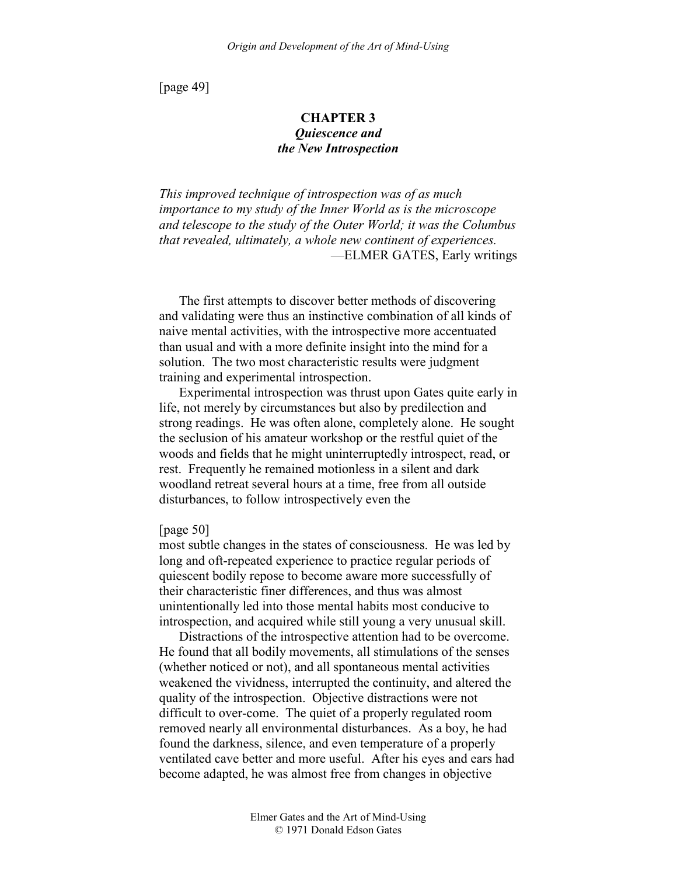[page 49]

# **CHAPTER 3**  *Quiescence and the New Introspection*

*This improved technique of introspection was of as much importance to my study of the Inner World as is the microscope and telescope to the study of the Outer World; it was the Columbus that revealed, ultimately, a whole new continent of experiences.*  —ELMER GATES, Early writings

The first attempts to discover better methods of discovering and validating were thus an instinctive combination of all kinds of naive mental activities, with the introspective more accentuated than usual and with a more definite insight into the mind for a solution. The two most characteristic results were judgment training and experimental introspection.

Experimental introspection was thrust upon Gates quite early in life, not merely by circumstances but also by predilection and strong readings. He was often alone, completely alone. He sought the seclusion of his amateur workshop or the restful quiet of the woods and fields that he might uninterruptedly introspect, read, or rest. Frequently he remained motionless in a silent and dark woodland retreat several hours at a time, free from all outside disturbances, to follow introspectively even the

# [page 50]

most subtle changes in the states of consciousness. He was led by long and oft-repeated experience to practice regular periods of quiescent bodily repose to become aware more successfully of their characteristic finer differences, and thus was almost unintentionally led into those mental habits most conducive to introspection, and acquired while still young a very unusual skill.

Distractions of the introspective attention had to be overcome. He found that all bodily movements, all stimulations of the senses (whether noticed or not), and all spontaneous mental activities weakened the vividness, interrupted the continuity, and altered the quality of the introspection. Objective distractions were not difficult to over-come. The quiet of a properly regulated room removed nearly all environmental disturbances. As a boy, he had found the darkness, silence, and even temperature of a properly ventilated cave better and more useful. After his eyes and ears had become adapted, he was almost free from changes in objective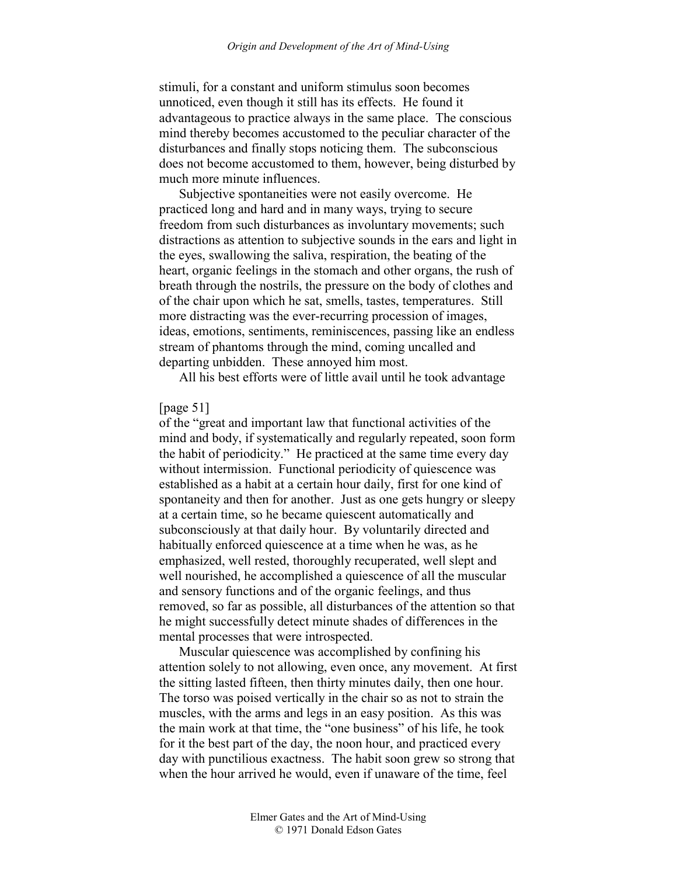stimuli, for a constant and uniform stimulus soon becomes unnoticed, even though it still has its effects. He found it advantageous to practice always in the same place. The conscious mind thereby becomes accustomed to the peculiar character of the disturbances and finally stops noticing them. The subconscious does not become accustomed to them, however, being disturbed by much more minute influences.

Subjective spontaneities were not easily overcome. He practiced long and hard and in many ways, trying to secure freedom from such disturbances as involuntary movements; such distractions as attention to subjective sounds in the ears and light in the eyes, swallowing the saliva, respiration, the beating of the heart, organic feelings in the stomach and other organs, the rush of breath through the nostrils, the pressure on the body of clothes and of the chair upon which he sat, smells, tastes, temperatures. Still more distracting was the ever-recurring procession of images, ideas, emotions, sentiments, reminiscences, passing like an endless stream of phantoms through the mind, coming uncalled and departing unbidden. These annoyed him most.

All his best efforts were of little avail until he took advantage

### [page 51]

of the "great and important law that functional activities of the mind and body, if systematically and regularly repeated, soon form the habit of periodicity." He practiced at the same time every day without intermission. Functional periodicity of quiescence was established as a habit at a certain hour daily, first for one kind of spontaneity and then for another. Just as one gets hungry or sleepy at a certain time, so he became quiescent automatically and subconsciously at that daily hour. By voluntarily directed and habitually enforced quiescence at a time when he was, as he emphasized, well rested, thoroughly recuperated, well slept and well nourished, he accomplished a quiescence of all the muscular and sensory functions and of the organic feelings, and thus removed, so far as possible, all disturbances of the attention so that he might successfully detect minute shades of differences in the mental processes that were introspected.

Muscular quiescence was accomplished by confining his attention solely to not allowing, even once, any movement. At first the sitting lasted fifteen, then thirty minutes daily, then one hour. The torso was poised vertically in the chair so as not to strain the muscles, with the arms and legs in an easy position. As this was the main work at that time, the "one business" of his life, he took for it the best part of the day, the noon hour, and practiced every day with punctilious exactness. The habit soon grew so strong that when the hour arrived he would, even if unaware of the time, feel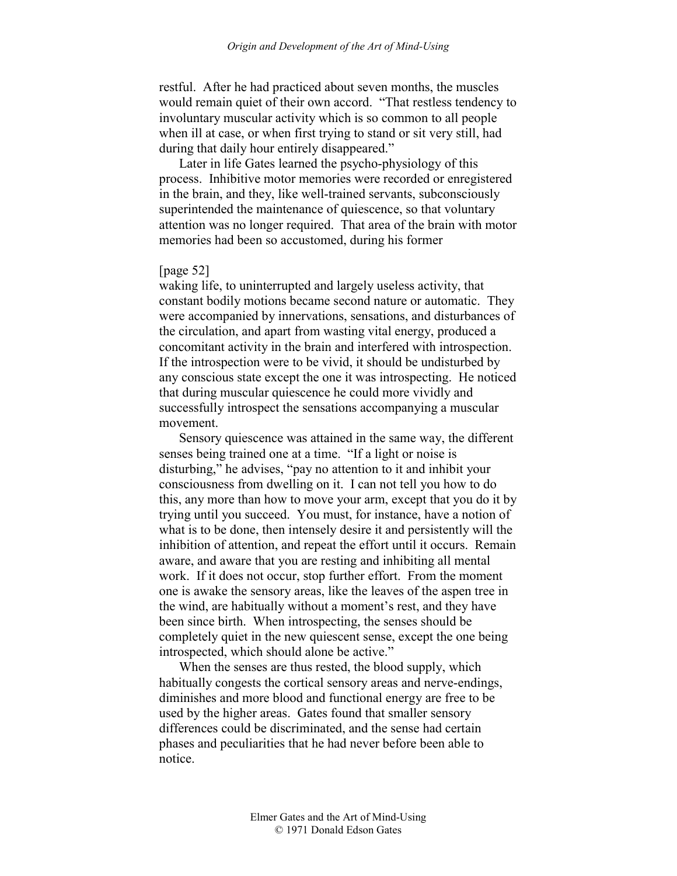restful. After he had practiced about seven months, the muscles would remain quiet of their own accord. "That restless tendency to involuntary muscular activity which is so common to all people when ill at case, or when first trying to stand or sit very still, had during that daily hour entirely disappeared."

Later in life Gates learned the psycho-physiology of this process. Inhibitive motor memories were recorded or enregistered in the brain, and they, like well-trained servants, subconsciously superintended the maintenance of quiescence, so that voluntary attention was no longer required. That area of the brain with motor memories had been so accustomed, during his former

# [page 52]

waking life, to uninterrupted and largely useless activity, that constant bodily motions became second nature or automatic. They were accompanied by innervations, sensations, and disturbances of the circulation, and apart from wasting vital energy, produced a concomitant activity in the brain and interfered with introspection. If the introspection were to be vivid, it should be undisturbed by any conscious state except the one it was introspecting. He noticed that during muscular quiescence he could more vividly and successfully introspect the sensations accompanying a muscular movement.

Sensory quiescence was attained in the same way, the different senses being trained one at a time. "If a light or noise is disturbing," he advises, "pay no attention to it and inhibit your consciousness from dwelling on it. I can not tell you how to do this, any more than how to move your arm, except that you do it by trying until you succeed. You must, for instance, have a notion of what is to be done, then intensely desire it and persistently will the inhibition of attention, and repeat the effort until it occurs. Remain aware, and aware that you are resting and inhibiting all mental work. If it does not occur, stop further effort. From the moment one is awake the sensory areas, like the leaves of the aspen tree in the wind, are habitually without a moment's rest, and they have been since birth. When introspecting, the senses should be completely quiet in the new quiescent sense, except the one being introspected, which should alone be active."

When the senses are thus rested, the blood supply, which habitually congests the cortical sensory areas and nerve-endings, diminishes and more blood and functional energy are free to be used by the higher areas. Gates found that smaller sensory differences could be discriminated, and the sense had certain phases and peculiarities that he had never before been able to notice.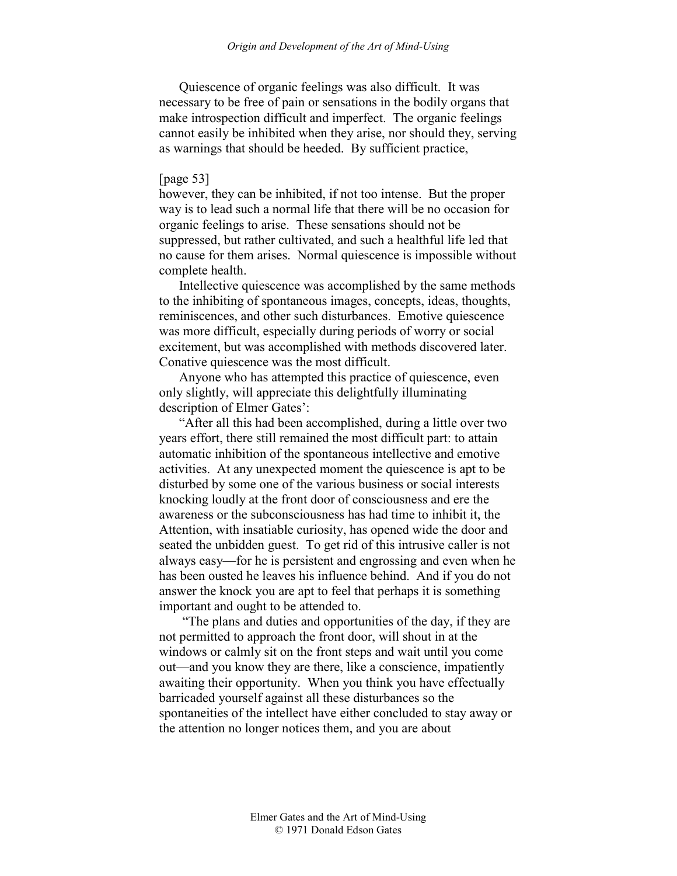Quiescence of organic feelings was also difficult. It was necessary to be free of pain or sensations in the bodily organs that make introspection difficult and imperfect. The organic feelings cannot easily be inhibited when they arise, nor should they, serving as warnings that should be heeded. By sufficient practice,

# [page 53]

however, they can be inhibited, if not too intense. But the proper way is to lead such a normal life that there will be no occasion for organic feelings to arise. These sensations should not be suppressed, but rather cultivated, and such a healthful life led that no cause for them arises. Normal quiescence is impossible without complete health.

Intellective quiescence was accomplished by the same methods to the inhibiting of spontaneous images, concepts, ideas, thoughts, reminiscences, and other such disturbances. Emotive quiescence was more difficult, especially during periods of worry or social excitement, but was accomplished with methods discovered later. Conative quiescence was the most difficult.

Anyone who has attempted this practice of quiescence, even only slightly, will appreciate this delightfully illuminating description of Elmer Gates':

"After all this had been accomplished, during a little over two years effort, there still remained the most difficult part: to attain automatic inhibition of the spontaneous intellective and emotive activities. At any unexpected moment the quiescence is apt to be disturbed by some one of the various business or social interests knocking loudly at the front door of consciousness and ere the awareness or the subconsciousness has had time to inhibit it, the Attention, with insatiable curiosity, has opened wide the door and seated the unbidden guest. To get rid of this intrusive caller is not always easy—for he is persistent and engrossing and even when he has been ousted he leaves his influence behind. And if you do not answer the knock you are apt to feel that perhaps it is something important and ought to be attended to.

 "The plans and duties and opportunities of the day, if they are not permitted to approach the front door, will shout in at the windows or calmly sit on the front steps and wait until you come out—and you know they are there, like a conscience, impatiently awaiting their opportunity. When you think you have effectually barricaded yourself against all these disturbances so the spontaneities of the intellect have either concluded to stay away or the attention no longer notices them, and you are about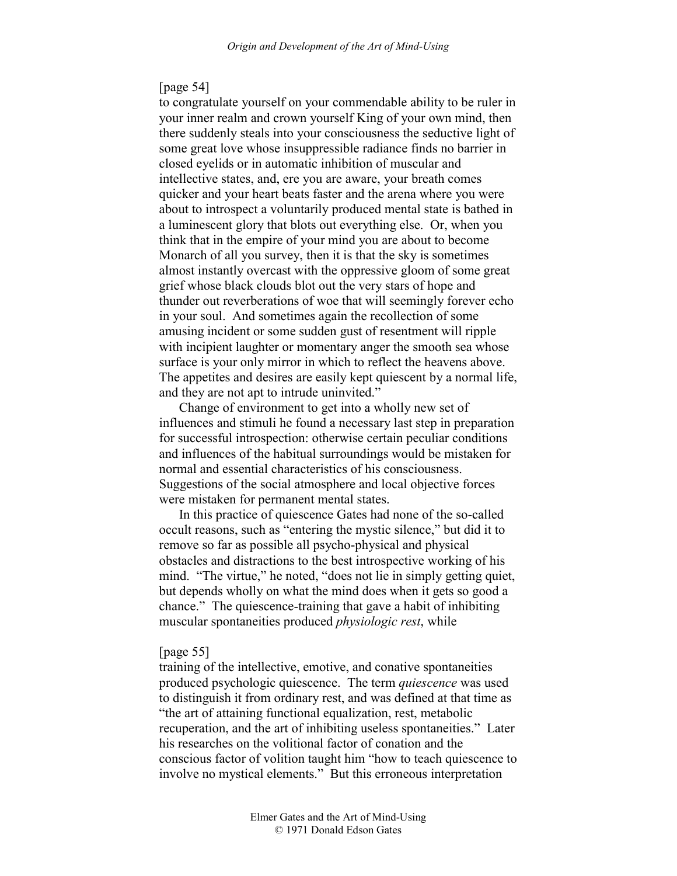### [page 54]

to congratulate yourself on your commendable ability to be ruler in your inner realm and crown yourself King of your own mind, then there suddenly steals into your consciousness the seductive light of some great love whose insuppressible radiance finds no barrier in closed eyelids or in automatic inhibition of muscular and intellective states, and, ere you are aware, your breath comes quicker and your heart beats faster and the arena where you were about to introspect a voluntarily produced mental state is bathed in a luminescent glory that blots out everything else. Or, when you think that in the empire of your mind you are about to become Monarch of all you survey, then it is that the sky is sometimes almost instantly overcast with the oppressive gloom of some great grief whose black clouds blot out the very stars of hope and thunder out reverberations of woe that will seemingly forever echo in your soul. And sometimes again the recollection of some amusing incident or some sudden gust of resentment will ripple with incipient laughter or momentary anger the smooth sea whose surface is your only mirror in which to reflect the heavens above. The appetites and desires are easily kept quiescent by a normal life, and they are not apt to intrude uninvited."

Change of environment to get into a wholly new set of influences and stimuli he found a necessary last step in preparation for successful introspection: otherwise certain peculiar conditions and influences of the habitual surroundings would be mistaken for normal and essential characteristics of his consciousness. Suggestions of the social atmosphere and local objective forces were mistaken for permanent mental states.

In this practice of quiescence Gates had none of the so-called occult reasons, such as "entering the mystic silence," but did it to remove so far as possible all psycho-physical and physical obstacles and distractions to the best introspective working of his mind. "The virtue," he noted, "does not lie in simply getting quiet, but depends wholly on what the mind does when it gets so good a chance." The quiescence-training that gave a habit of inhibiting muscular spontaneities produced *physiologic rest*, while

#### [page 55]

training of the intellective, emotive, and conative spontaneities produced psychologic quiescence. The term *quiescence* was used to distinguish it from ordinary rest, and was defined at that time as "the art of attaining functional equalization, rest, metabolic recuperation, and the art of inhibiting useless spontaneities." Later his researches on the volitional factor of conation and the conscious factor of volition taught him "how to teach quiescence to involve no mystical elements." But this erroneous interpretation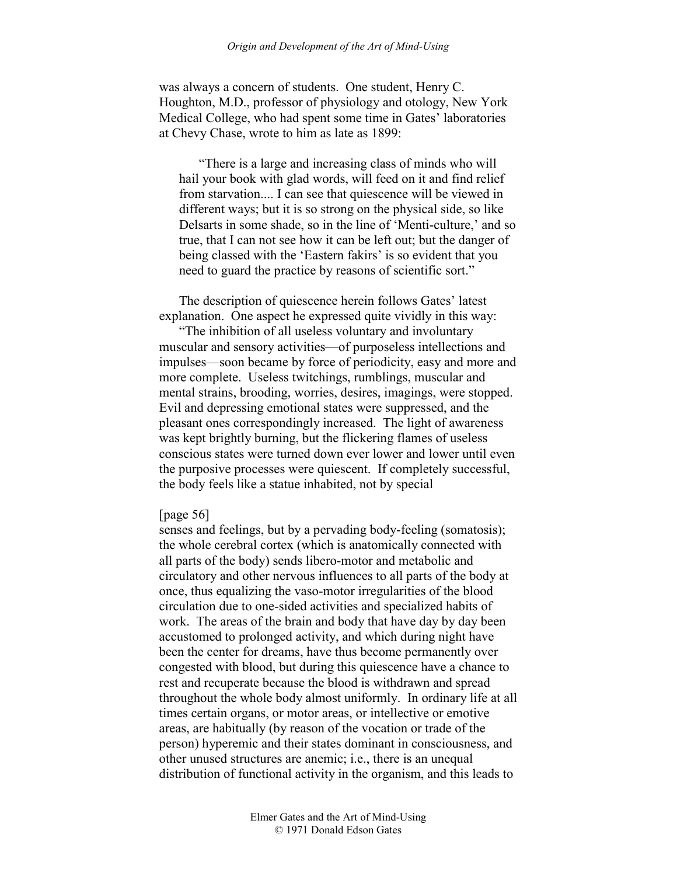was always a concern of students. One student, Henry C. Houghton, M.D., professor of physiology and otology, New York Medical College, who had spent some time in Gates' laboratories at Chevy Chase, wrote to him as late as 1899:

"There is a large and increasing class of minds who will hail your book with glad words, will feed on it and find relief from starvation.... I can see that quiescence will be viewed in different ways; but it is so strong on the physical side, so like Delsarts in some shade, so in the line of 'Menti-culture,' and so true, that I can not see how it can be left out; but the danger of being classed with the 'Eastern fakirs' is so evident that you need to guard the practice by reasons of scientific sort."

The description of quiescence herein follows Gates' latest explanation. One aspect he expressed quite vividly in this way:

"The inhibition of all useless voluntary and involuntary muscular and sensory activities—of purposeless intellections and impulses—soon became by force of periodicity, easy and more and more complete. Useless twitchings, rumblings, muscular and mental strains, brooding, worries, desires, imagings, were stopped. Evil and depressing emotional states were suppressed, and the pleasant ones correspondingly increased. The light of awareness was kept brightly burning, but the flickering flames of useless conscious states were turned down ever lower and lower until even the purposive processes were quiescent. If completely successful, the body feels like a statue inhabited, not by special

#### [page 56]

senses and feelings, but by a pervading body-feeling (somatosis); the whole cerebral cortex (which is anatomically connected with all parts of the body) sends libero-motor and metabolic and circulatory and other nervous influences to all parts of the body at once, thus equalizing the vaso-motor irregularities of the blood circulation due to one-sided activities and specialized habits of work. The areas of the brain and body that have day by day been accustomed to prolonged activity, and which during night have been the center for dreams, have thus become permanently over congested with blood, but during this quiescence have a chance to rest and recuperate because the blood is withdrawn and spread throughout the whole body almost uniformly. In ordinary life at all times certain organs, or motor areas, or intellective or emotive areas, are habitually (by reason of the vocation or trade of the person) hyperemic and their states dominant in consciousness, and other unused structures are anemic; i.e., there is an unequal distribution of functional activity in the organism, and this leads to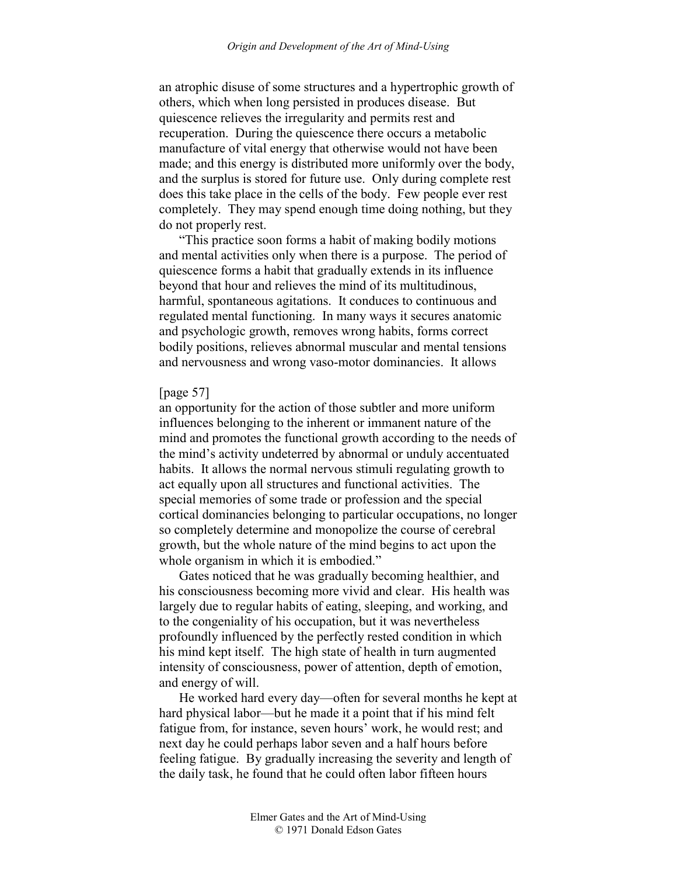an atrophic disuse of some structures and a hypertrophic growth of others, which when long persisted in produces disease. But quiescence relieves the irregularity and permits rest and recuperation. During the quiescence there occurs a metabolic manufacture of vital energy that otherwise would not have been made; and this energy is distributed more uniformly over the body, and the surplus is stored for future use. Only during complete rest does this take place in the cells of the body. Few people ever rest completely. They may spend enough time doing nothing, but they do not properly rest.

"This practice soon forms a habit of making bodily motions and mental activities only when there is a purpose. The period of quiescence forms a habit that gradually extends in its influence beyond that hour and relieves the mind of its multitudinous, harmful, spontaneous agitations. It conduces to continuous and regulated mental functioning. In many ways it secures anatomic and psychologic growth, removes wrong habits, forms correct bodily positions, relieves abnormal muscular and mental tensions and nervousness and wrong vaso-motor dominancies. It allows

#### [page 57]

an opportunity for the action of those subtler and more uniform influences belonging to the inherent or immanent nature of the mind and promotes the functional growth according to the needs of the mind's activity undeterred by abnormal or unduly accentuated habits. It allows the normal nervous stimuli regulating growth to act equally upon all structures and functional activities. The special memories of some trade or profession and the special cortical dominancies belonging to particular occupations, no longer so completely determine and monopolize the course of cerebral growth, but the whole nature of the mind begins to act upon the whole organism in which it is embodied."

Gates noticed that he was gradually becoming healthier, and his consciousness becoming more vivid and clear. His health was largely due to regular habits of eating, sleeping, and working, and to the congeniality of his occupation, but it was nevertheless profoundly influenced by the perfectly rested condition in which his mind kept itself. The high state of health in turn augmented intensity of consciousness, power of attention, depth of emotion, and energy of will.

He worked hard every day—often for several months he kept at hard physical labor—but he made it a point that if his mind felt fatigue from, for instance, seven hours' work, he would rest; and next day he could perhaps labor seven and a half hours before feeling fatigue. By gradually increasing the severity and length of the daily task, he found that he could often labor fifteen hours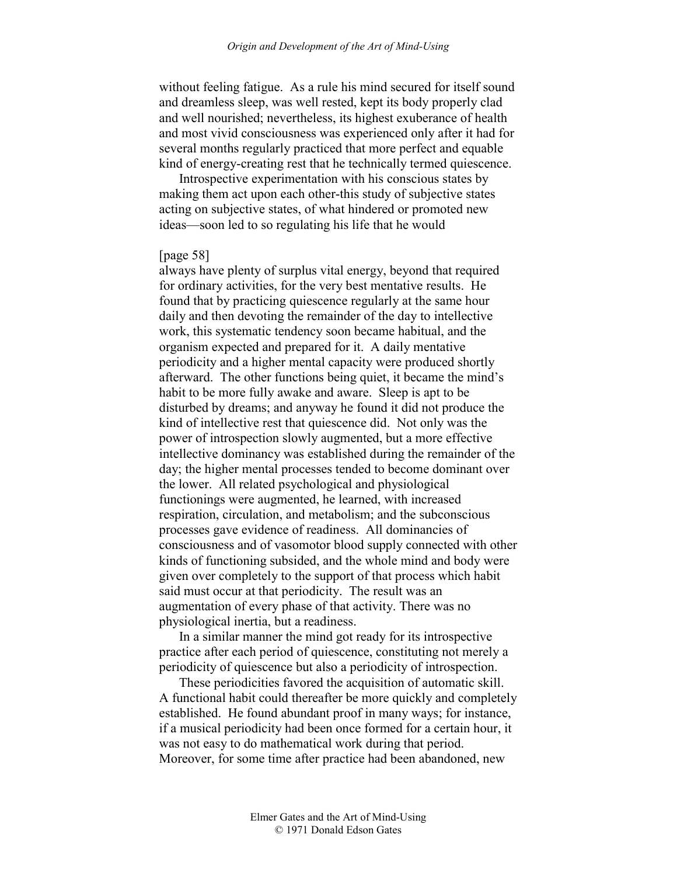without feeling fatigue. As a rule his mind secured for itself sound and dreamless sleep, was well rested, kept its body properly clad and well nourished; nevertheless, its highest exuberance of health and most vivid consciousness was experienced only after it had for several months regularly practiced that more perfect and equable kind of energy-creating rest that he technically termed quiescence.

Introspective experimentation with his conscious states by making them act upon each other-this study of subjective states acting on subjective states, of what hindered or promoted new ideas—soon led to so regulating his life that he would

### [page 58]

always have plenty of surplus vital energy, beyond that required for ordinary activities, for the very best mentative results. He found that by practicing quiescence regularly at the same hour daily and then devoting the remainder of the day to intellective work, this systematic tendency soon became habitual, and the organism expected and prepared for it. A daily mentative periodicity and a higher mental capacity were produced shortly afterward. The other functions being quiet, it became the mind's habit to be more fully awake and aware. Sleep is apt to be disturbed by dreams; and anyway he found it did not produce the kind of intellective rest that quiescence did. Not only was the power of introspection slowly augmented, but a more effective intellective dominancy was established during the remainder of the day; the higher mental processes tended to become dominant over the lower. All related psychological and physiological functionings were augmented, he learned, with increased respiration, circulation, and metabolism; and the subconscious processes gave evidence of readiness. All dominancies of consciousness and of vasomotor blood supply connected with other kinds of functioning subsided, and the whole mind and body were given over completely to the support of that process which habit said must occur at that periodicity. The result was an augmentation of every phase of that activity. There was no physiological inertia, but a readiness.

In a similar manner the mind got ready for its introspective practice after each period of quiescence, constituting not merely a periodicity of quiescence but also a periodicity of introspection.

These periodicities favored the acquisition of automatic skill. A functional habit could thereafter be more quickly and completely established. He found abundant proof in many ways; for instance, if a musical periodicity had been once formed for a certain hour, it was not easy to do mathematical work during that period. Moreover, for some time after practice had been abandoned, new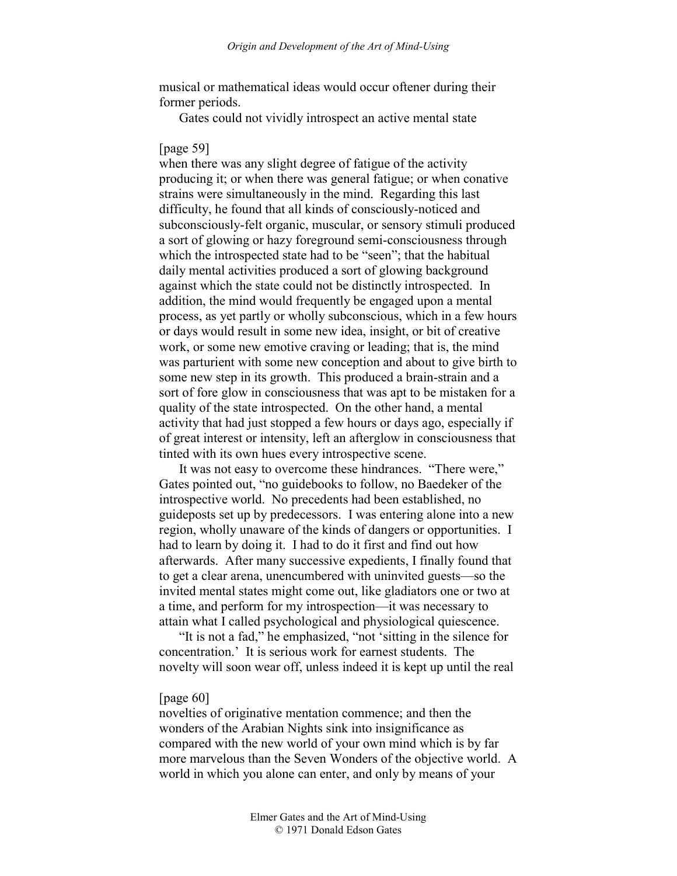musical or mathematical ideas would occur oftener during their former periods.

Gates could not vividly introspect an active mental state

### [page 59]

when there was any slight degree of fatigue of the activity producing it; or when there was general fatigue; or when conative strains were simultaneously in the mind. Regarding this last difficulty, he found that all kinds of consciously-noticed and subconsciously-felt organic, muscular, or sensory stimuli produced a sort of glowing or hazy foreground semi-consciousness through which the introspected state had to be "seen"; that the habitual daily mental activities produced a sort of glowing background against which the state could not be distinctly introspected. In addition, the mind would frequently be engaged upon a mental process, as yet partly or wholly subconscious, which in a few hours or days would result in some new idea, insight, or bit of creative work, or some new emotive craving or leading; that is, the mind was parturient with some new conception and about to give birth to some new step in its growth. This produced a brain-strain and a sort of fore glow in consciousness that was apt to be mistaken for a quality of the state introspected. On the other hand, a mental activity that had just stopped a few hours or days ago, especially if of great interest or intensity, left an afterglow in consciousness that tinted with its own hues every introspective scene.

It was not easy to overcome these hindrances. "There were," Gates pointed out, "no guidebooks to follow, no Baedeker of the introspective world. No precedents had been established, no guideposts set up by predecessors. I was entering alone into a new region, wholly unaware of the kinds of dangers or opportunities. I had to learn by doing it. I had to do it first and find out how afterwards. After many successive expedients, I finally found that to get a clear arena, unencumbered with uninvited guests—so the invited mental states might come out, like gladiators one or two at a time, and perform for my introspection—it was necessary to attain what I called psychological and physiological quiescence.

"It is not a fad," he emphasized, "not 'sitting in the silence for concentration.' It is serious work for earnest students. The novelty will soon wear off, unless indeed it is kept up until the real

#### [page 60]

novelties of originative mentation commence; and then the wonders of the Arabian Nights sink into insignificance as compared with the new world of your own mind which is by far more marvelous than the Seven Wonders of the objective world. A world in which you alone can enter, and only by means of your